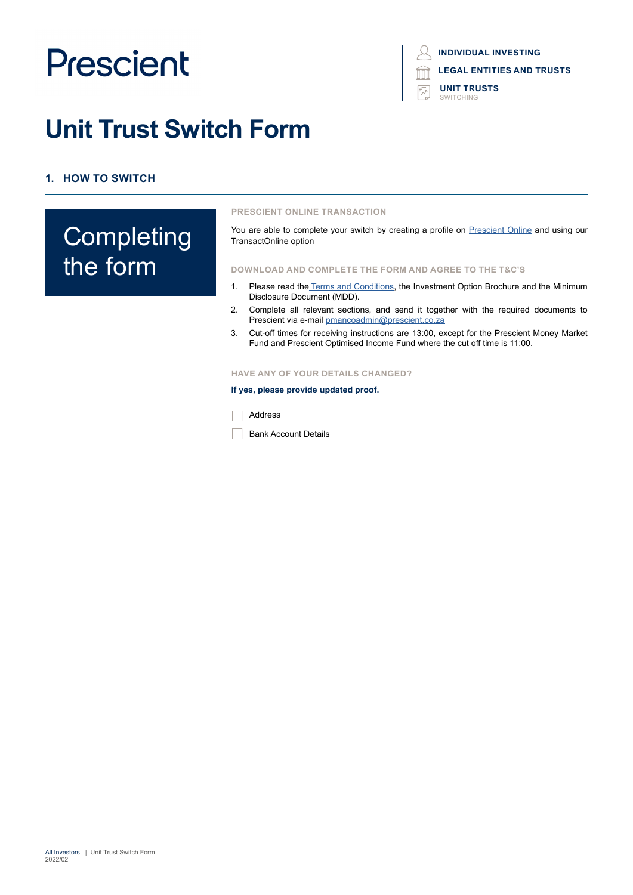# **Unit Trust Switch Form**

## **1. HOW TO SWITCH**

## **Completing** the form

#### **PRESCIENT ONLINE TRANSACTION**

You are able to complete your switch by creating a profile on [Prescient Online](https://www.prescientonline.co.za/) and using our TransactOnline option

#### **DOWNLOAD AND COMPLETE THE FORM AND AGREE TO THE T&C'S**

- 1. Please read the [Terms and Conditions,](https://www.prescient.co.za/media/nryjvycp/2021-terms-conditions.pdf) the Investment Option Brochure and the Minimum Disclosure Document (MDD).
- 2. Complete all relevant sections, and send it together with the required documents to Prescient via e-mail [pmancoadmin@prescient.co.za](mailto:%20pmancoadmin%40prescient.co.za?subject=Prescient%20-%20Switch%20Form)
- 3. Cut-off times for receiving instructions are 13:00, except for the Prescient Money Market Fund and Prescient Optimised Income Fund where the cut off time is 11:00.

#### **HAVE ANY OF YOUR DETAILS CHANGED?**

#### **If yes, please provide updated proof.**



**Bank Account Details** 

**LEGAL ENTITIES AND TRUSTS INDIVIDUAL INVESTING**

**UNIT TRUSTS** SWITCHING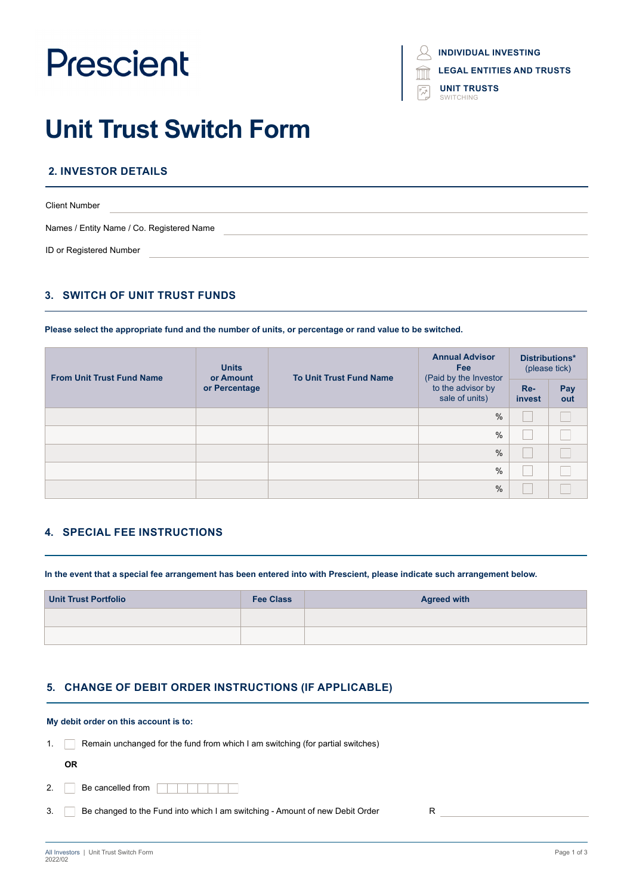| <b>INDIVIDUAL INVESTING</b> |  |
|-----------------------------|--|
|                             |  |

**LEGAL ENTITIES AND TRUSTS**

**UNIT TRUSTS** SWITCHING

# **Unit Trust Switch Form**

## **2. INVESTOR DETAILS**

| <b>Client Number</b>                      |  |
|-------------------------------------------|--|
| Names / Entity Name / Co. Registered Name |  |
| ID or Registered Number                   |  |

### **3. SWITCH OF UNIT TRUST FUNDS**

#### **Please select the appropriate fund and the number of units, or percentage or rand value to be switched.**

| <b>Units</b><br><b>From Unit Trust Fund Name</b><br>or Amount<br>or Percentage | <b>To Unit Trust Fund Name</b> | <b>Annual Advisor</b><br><b>Fee</b><br>(Paid by the Investor | Distributions*<br>(please tick)     |                 |            |
|--------------------------------------------------------------------------------|--------------------------------|--------------------------------------------------------------|-------------------------------------|-----------------|------------|
|                                                                                |                                |                                                              | to the advisor by<br>sale of units) | $Re-$<br>invest | Pay<br>out |
|                                                                                |                                |                                                              | $\%$                                |                 |            |
|                                                                                |                                |                                                              | $\%$                                |                 |            |
|                                                                                |                                |                                                              | $\frac{0}{0}$                       |                 |            |
|                                                                                |                                |                                                              | $\%$                                |                 |            |
|                                                                                |                                |                                                              | $\%$                                |                 |            |

### **4. SPECIAL FEE INSTRUCTIONS**

**In the event that a special fee arrangement has been entered into with Prescient, please indicate such arrangement below.**

| Unit Trust Portfolio | <b>Fee Class</b> | <b>Agreed with</b> |
|----------------------|------------------|--------------------|
|                      |                  |                    |
|                      |                  |                    |

### **5. CHANGE OF DEBIT ORDER INSTRUCTIONS (IF APPLICABLE)**

#### **My debit order on this account is to:**

1. Remain unchanged for the fund from which I am switching (for partial switches)

| Be cancelled from |  |
|-------------------|--|

3. Be changed to the Fund into which I am switching - Amount of new Debit Order R

**OR**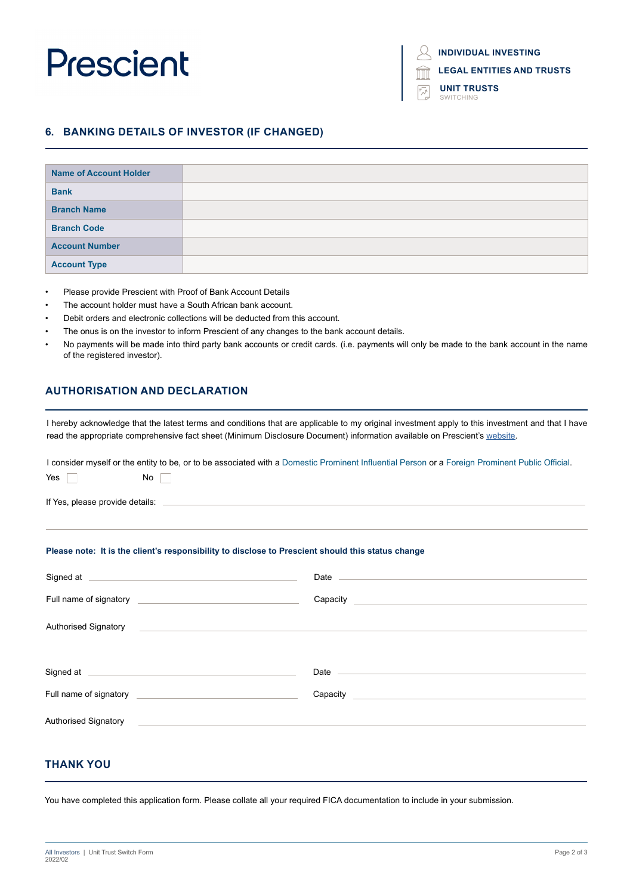**LEGAL ENTITIES AND TRUSTS**

**UNIT TRUSTS** SWITCHING

### **6. BANKING DETAILS OF INVESTOR (IF CHANGED)**

| <b>Name of Account Holder</b> |  |
|-------------------------------|--|
| <b>Bank</b>                   |  |
| <b>Branch Name</b>            |  |
| <b>Branch Code</b>            |  |
| <b>Account Number</b>         |  |
| <b>Account Type</b>           |  |

- Please provide Prescient with Proof of Bank Account Details
- The account holder must have a South African bank account.
- Debit orders and electronic collections will be deducted from this account.
- The onus is on the investor to inform Prescient of any changes to the bank account details.
- No payments will be made into third party bank accounts or credit cards. (i.e. payments will only be made to the bank account in the name of the registered investor).

### **AUTHORISATION AND DECLARATION**

I hereby acknowledge that the latest terms and conditions that are applicable to my original investment apply to this investment and that I have read the appropriate comprehensive fact sheet (Minimum Disclosure Document) information available on Prescient's website.

I consider myself or the entity to be, or to be associated with a Domestic Prominent Influential Person or a Foreign Prominent Public Official.

| No  <br>$Yes \mid \mid$                                                                                                                                                                                                              |                                                                                                                                                                                                                                |  |
|--------------------------------------------------------------------------------------------------------------------------------------------------------------------------------------------------------------------------------------|--------------------------------------------------------------------------------------------------------------------------------------------------------------------------------------------------------------------------------|--|
| If Yes, please provide details: experience of the state of the state of the state of the state of the state of                                                                                                                       |                                                                                                                                                                                                                                |  |
| Please note: It is the client's responsibility to disclose to Prescient should this status change                                                                                                                                    |                                                                                                                                                                                                                                |  |
| Signed at <u>example and a series of the series of the series of the series of the series of the series of the series of the series of the series of the series of the series of the series of the series of the series of the s</u> | Date and the state of the state of the state of the state of the state of the state of the state of the state of the state of the state of the state of the state of the state of the state of the state of the state of the s |  |
|                                                                                                                                                                                                                                      |                                                                                                                                                                                                                                |  |
| Authorised Signatory <b>Contract Contract Contract Contract Contract Contract Contract Contract Contract Contract Contract Contract Contract Contract Contract Contract Contract Contract Contract Contract Contract Contract Co</b> |                                                                                                                                                                                                                                |  |
| Signed at <u>example and a series of the series of the series of the series of the series of the series of the series of the series of the series of the series of the series of the series of the series of the series of the s</u> | Date enter the state of the state of the state of the state of the state of the state of the state of the state of the state of the state of the state of the state of the state of the state of the state of the state of the |  |
| Full name of signatory <b>contained a set of signatory</b> and the set of signatory and the set of the set of the set of the set of the set of the set of the set of the set of the set of the set of the set of the set of the set  | Capacity Capacity                                                                                                                                                                                                              |  |
| Authorised Signatory <b>Contract Contract Contract Contract Contract Contract Contract Contract Contract Contract Contract Contract Contract Contract Contract Contract Contract Contract Contract Contract Contract Contract Co</b> |                                                                                                                                                                                                                                |  |

#### **THANK YOU**

You have completed this application form. Please collate all your required FICA documentation to include in your submission.